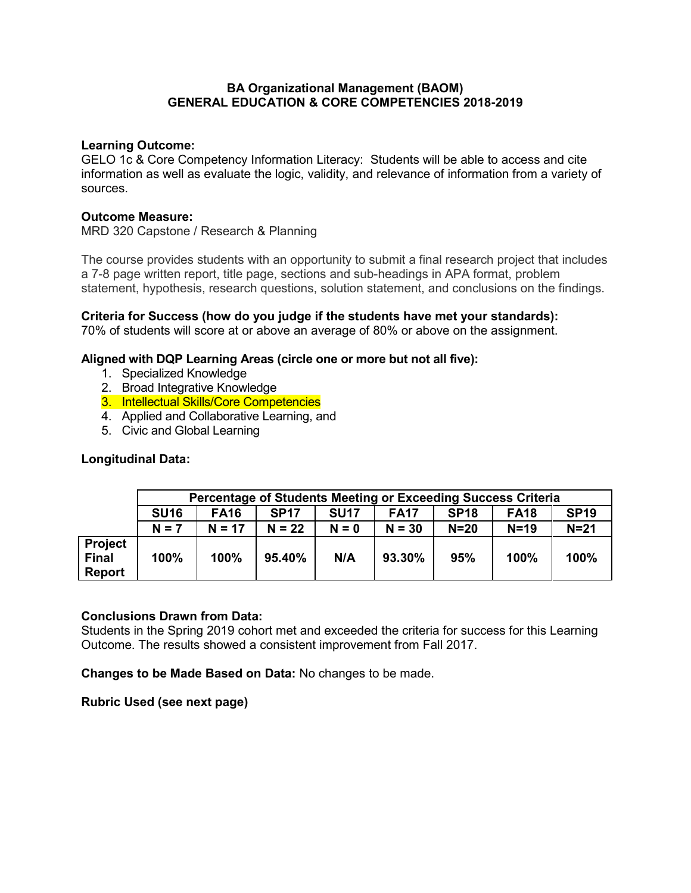## **BA Organizational Management (BAOM) GENERAL EDUCATION & CORE COMPETENCIES 2018-2019**

### **Learning Outcome:**

GELO 1c & Core Competency Information Literacy: Students will be able to access and cite information as well as evaluate the logic, validity, and relevance of information from a variety of sources.

#### **Outcome Measure:**

MRD 320 Capstone / Research & Planning

The course provides students with an opportunity to submit a final research project that includes a 7-8 page written report, title page, sections and sub-headings in APA format, problem statement, hypothesis, research questions, solution statement, and conclusions on the findings.

**Criteria for Success (how do you judge if the students have met your standards):** 70% of students will score at or above an average of 80% or above on the assignment.

# **Aligned with DQP Learning Areas (circle one or more but not all five):**

- 1. Specialized Knowledge
- 2. Broad Integrative Knowledge
- 3. Intellectual Skills/Core Competencies
- 4. Applied and Collaborative Learning, and
- 5. Civic and Global Learning

# **Longitudinal Data:**

|                                          | Percentage of Students Meeting or Exceeding Success Criteria |             |             |             |             |             |             |             |  |
|------------------------------------------|--------------------------------------------------------------|-------------|-------------|-------------|-------------|-------------|-------------|-------------|--|
|                                          | <b>SU16</b>                                                  | <b>FA16</b> | <b>SP17</b> | <b>SU17</b> | <b>FA17</b> | <b>SP18</b> | <b>FA18</b> | <b>SP19</b> |  |
|                                          | $N = 7$                                                      | $N = 17$    | $N = 22$    | $N = 0$     | $N = 30$    | $N=20$      | $N=19$      | $N=21$      |  |
| Project<br><b>Final</b><br><b>Report</b> | 100%                                                         | 100%        | 95.40%      | N/A         | 93.30%      | 95%         | 100%        | 100%        |  |

#### **Conclusions Drawn from Data:**

Students in the Spring 2019 cohort met and exceeded the criteria for success for this Learning Outcome. The results showed a consistent improvement from Fall 2017.

**Changes to be Made Based on Data:** No changes to be made.

**Rubric Used (see next page)**